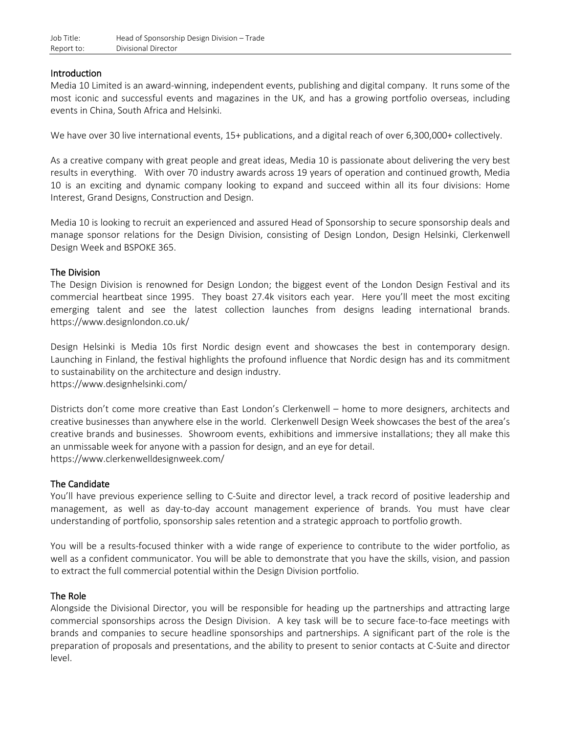## Introduction

Media 10 Limited is an award-winning, independent events, publishing and digital company. It runs some of the most iconic and successful events and magazines in the UK, and has a growing portfolio overseas, including events in China, South Africa and Helsinki.

We have over 30 live international events, 15+ publications, and a digital reach of over 6,300,000+ collectively.

As a creative company with great people and great ideas, Media 10 is passionate about delivering the very best results in everything. With over 70 industry awards across 19 years of operation and continued growth, Media 10 is an exciting and dynamic company looking to expand and succeed within all its four divisions: Home Interest, Grand Designs, Construction and Design.

Media 10 is looking to recruit an experienced and assured Head of Sponsorship to secure sponsorship deals and manage sponsor relations for the Design Division, consisting of Design London, Design Helsinki, Clerkenwell Design Week and BSPOKE 365.

## The Division

The Design Division is renowned for Design London; the biggest event of the London Design Festival and its commercial heartbeat since 1995. They boast 27.4k visitors each year. Here you'll meet the most exciting emerging talent and see the latest collection launches from designs leading international brands. https://www.designlondon.co.uk/

Design Helsinki is Media 10s first Nordic design event and showcases the best in contemporary design. Launching in Finland, the festival highlights the profound influence that Nordic design has and its commitment to sustainability on the architecture and design industry. https://www.designhelsinki.com/

Districts don't come more creative than East London's Clerkenwell – home to more designers, architects and creative businesses than anywhere else in the world. Clerkenwell Design Week showcases the best of the area's creative brands and businesses. Showroom events, exhibitions and immersive installations; they all make this an unmissable week for anyone with a passion for design, and an eye for detail. https://www.clerkenwelldesignweek.com/

### The Candidate

You'll have previous experience selling to C-Suite and director level, a track record of positive leadership and management, as well as day-to-day account management experience of brands. You must have clear understanding of portfolio, sponsorship sales retention and a strategic approach to portfolio growth.

You will be a results-focused thinker with a wide range of experience to contribute to the wider portfolio, as well as a confident communicator. You will be able to demonstrate that you have the skills, vision, and passion to extract the full commercial potential within the Design Division portfolio.

### The Role

Alongside the Divisional Director, you will be responsible for heading up the partnerships and attracting large commercial sponsorships across the Design Division. A key task will be to secure face-to-face meetings with brands and companies to secure headline sponsorships and partnerships. A significant part of the role is the preparation of proposals and presentations, and the ability to present to senior contacts at C-Suite and director level.